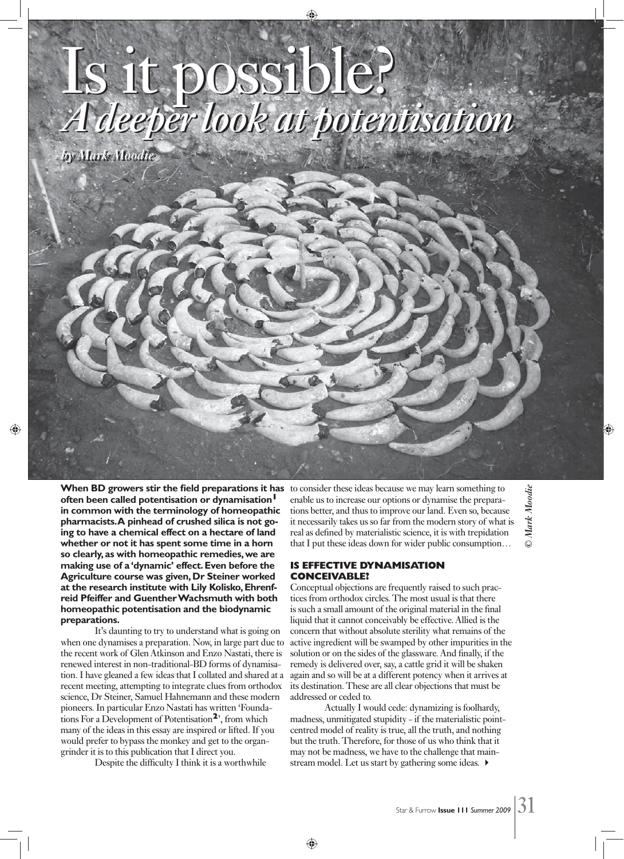# Is it possible? *A deeper look at potentisation* Is it possible? *A deeper look at potentisation*

*by Mark Moodie by Mark Moodie*

**When BD growers stir the field preparations it has often been called potentisation or dynamisation<sup>1</sup> in common with the terminology of homeopathic pharmacists. A pinhead of crushed silica is not going to have a chemical effect on a hectare of land whether or not it has spent some time in a horn so clearly, as with homeopathic remedies, we are making use of a 'dynamic' effect. Even before the Agriculture course was given, Dr Steiner worked at the research institute with Lily Kolisko, Ehrenfreid Pfeiffer and Guenther Wachsmuth with both homeopathic potentisation and the biodynamic preparations.**

 It's daunting to try to understand what is going on when one dynamises a preparation. Now, in large part due to the recent work of Glen Atkinson and Enzo Nastati, there is renewed interest in non-traditional-BD forms of dynamisation. I have gleaned a few ideas that I collated and shared at a recent meeting, attempting to integrate clues from orthodox science, Dr Steiner, Samuel Hahnemann and these modern pioneers. In particular Enzo Nastati has written 'Foundations For a Development of Potentisation**2**', from which many of the ideas in this essay are inspired or lifted. If you would prefer to bypass the monkey and get to the organgrinder it is to this publication that I direct you.

Despite the difficulty I think it is a worthwhile

to consider these ideas because we may learn something to enable us to increase our options or dynamise the preparations better, and thus to improve our land. Even so, because it necessarily takes us so far from the modern story of what is real as defined by materialistic science, it is with trepidation that I put these ideas down for wider public consumption…

# **IS EFFECTIVE DYNAMISATION CONCEIVABLE?**

Conceptual objections are frequently raised to such practices from orthodox circles. The most usual is that there is such a small amount of the original material in the final liquid that it cannot conceivably be effective. Allied is the concern that without absolute sterility what remains of the active ingredient will be swamped by other impurities in the solution or on the sides of the glassware. And finally, if the remedy is delivered over, say, a cattle grid it will be shaken again and so will be at a different potency when it arrives at its destination. These are all clear objections that must be addressed or ceded to.

 Actually I would cede: dynamizing is foolhardy, madness, unmitigated stupidity - if the materialistic pointcentred model of reality is true, all the truth, and nothing but the truth. Therefore, for those of us who think that it may not be madness, we have to the challenge that mainstream model. Let us start by gathering some ideas.  $\blacktriangleright$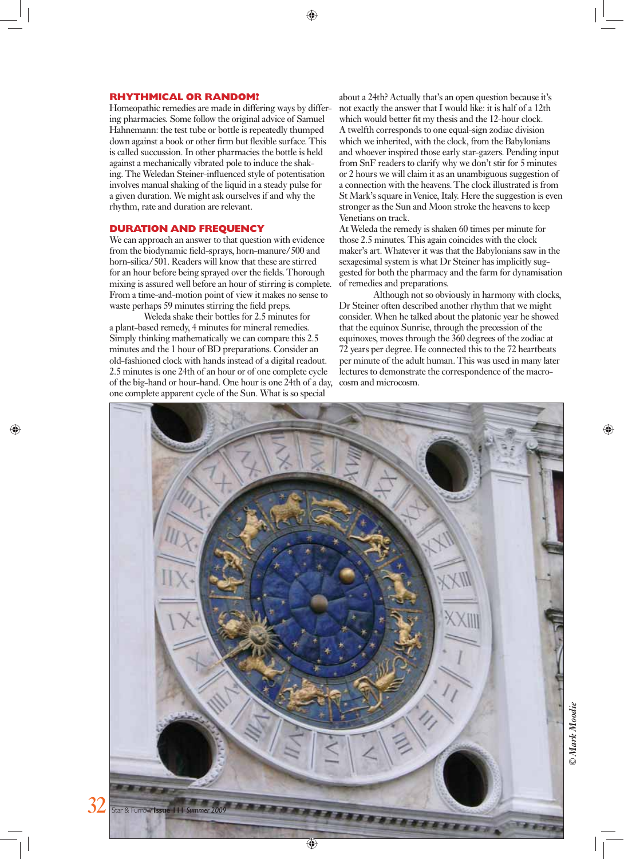#### **RHYTHMICAL OR RANDOM?**

Homeopathic remedies are made in differing ways by differing pharmacies. Some follow the original advice of Samuel Hahnemann: the test tube or bottle is repeatedly thumped down against a book or other firm but flexible surface. This is called succussion. In other pharmacies the bottle is held against a mechanically vibrated pole to induce the shaking. The Weledan Steiner-influenced style of potentisation involves manual shaking of the liquid in a steady pulse for a given duration. We might ask ourselves if and why the rhythm, rate and duration are relevant.

#### **DURATION AND FREQUENCY**

We can approach an answer to that question with evidence from the biodynamic field-sprays, horn-manure/500 and horn-silica/501. Readers will know that these are stirred for an hour before being sprayed over the fields. Thorough mixing is assured well before an hour of stirring is complete. From a time-and-motion point of view it makes no sense to waste perhaps 59 minutes stirring the field preps.

 Weleda shake their bottles for 2.5 minutes for a plant-based remedy, 4 minutes for mineral remedies. Simply thinking mathematically we can compare this 2.5 minutes and the 1 hour of BD preparations. Consider an old-fashioned clock with hands instead of a digital readout. 2.5 minutes is one 24th of an hour or of one complete cycle of the big-hand or hour-hand. One hour is one 24th of a day, one complete apparent cycle of the Sun. What is so special

about a 24th? Actually that's an open question because it's not exactly the answer that I would like: it is half of a 12th which would better fit my thesis and the 12-hour clock. A twelfth corresponds to one equal-sign zodiac division which we inherited, with the clock, from the Babylonians and whoever inspired those early star-gazers. Pending input from SnF readers to clarify why we don't stir for 5 minutes or 2 hours we will claim it as an unambiguous suggestion of a connection with the heavens. The clock illustrated is from St Mark's square in Venice, Italy. Here the suggestion is even stronger as the Sun and Moon stroke the heavens to keep Venetians on track.

At Weleda the remedy is shaken 60 times per minute for those 2.5 minutes. This again coincides with the clock maker's art. Whatever it was that the Babylonians saw in the sexagesimal system is what Dr Steiner has implicitly suggested for both the pharmacy and the farm for dynamisation of remedies and preparations.

 Although not so obviously in harmony with clocks, Dr Steiner often described another rhythm that we might consider. When he talked about the platonic year he showed that the equinox Sunrise, through the precession of the equinoxes, moves through the 360 degrees of the zodiac at 72 years per degree. He connected this to the 72 heartbeats per minute of the adult human. This was used in many later lectures to demonstrate the correspondence of the macrocosm and microcosm.

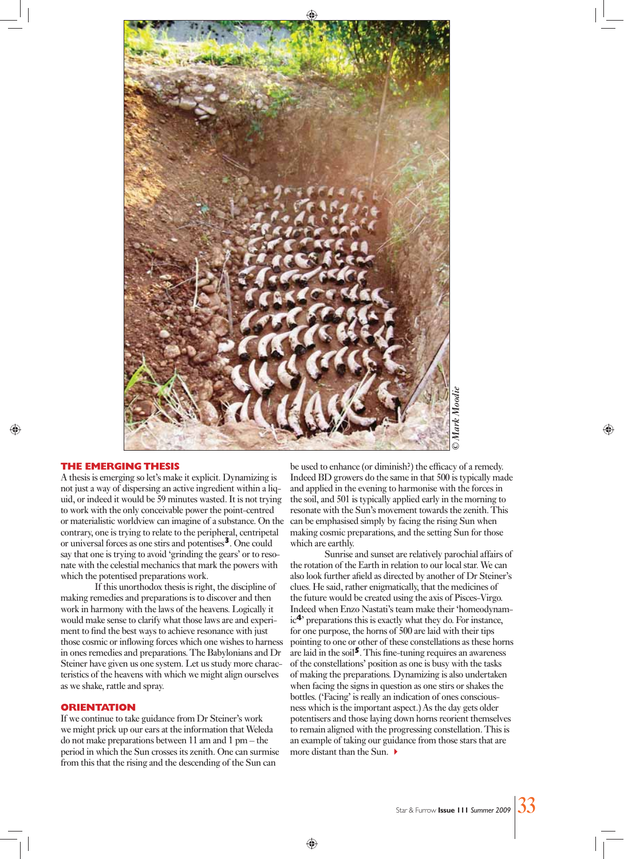

## **THE EMERGING THESIS**

A thesis is emerging so let's make it explicit. Dynamizing is not just a way of dispersing an active ingredient within a liquid, or indeed it would be 59 minutes wasted. It is not trying to work with the only conceivable power the point-centred or materialistic worldview can imagine of a substance. On the contrary, one is trying to relate to the peripheral, centripetal or universal forces as one stirs and potentises**3**. One could say that one is trying to avoid 'grinding the gears' or to resonate with the celestial mechanics that mark the powers with which the potentised preparations work.

 If this unorthodox thesis is right, the discipline of making remedies and preparations is to discover and then work in harmony with the laws of the heavens. Logically it would make sense to clarify what those laws are and experiment to find the best ways to achieve resonance with just those cosmic or inflowing forces which one wishes to harness in ones remedies and preparations. The Babylonians and Dr Steiner have given us one system. Let us study more characteristics of the heavens with which we might align ourselves as we shake, rattle and spray.

#### **ORIENTATION**

If we continue to take guidance from Dr Steiner's work we might prick up our ears at the information that Weleda do not make preparations between 11 am and 1 pm – the period in which the Sun crosses its zenith. One can surmise from this that the rising and the descending of the Sun can

be used to enhance (or diminish?) the efficacy of a remedy. Indeed BD growers do the same in that 500 is typically made and applied in the evening to harmonise with the forces in the soil, and 501 is typically applied early in the morning to resonate with the Sun's movement towards the zenith. This can be emphasised simply by facing the rising Sun when making cosmic preparations, and the setting Sun for those which are earthly.

 Sunrise and sunset are relatively parochial affairs of the rotation of the Earth in relation to our local star. We can also look further afield as directed by another of Dr Steiner's clues. He said, rather enigmatically, that the medicines of the future would be created using the axis of Pisces-Virgo. Indeed when Enzo Nastati's team make their 'homeodynamic**4**' preparations this is exactly what they do. For instance, for one purpose, the horns of 500 are laid with their tips pointing to one or other of these constellations as these horns are laid in the soil<sup>5</sup>. This fine-tuning requires an awareness of the constellations' position as one is busy with the tasks of making the preparations. Dynamizing is also undertaken when facing the signs in question as one stirs or shakes the bottles. ('Facing' is really an indication of ones consciousness which is the important aspect.) As the day gets older potentisers and those laying down horns reorient themselves to remain aligned with the progressing constellation. This is an example of taking our guidance from those stars that are more distant than the Sun.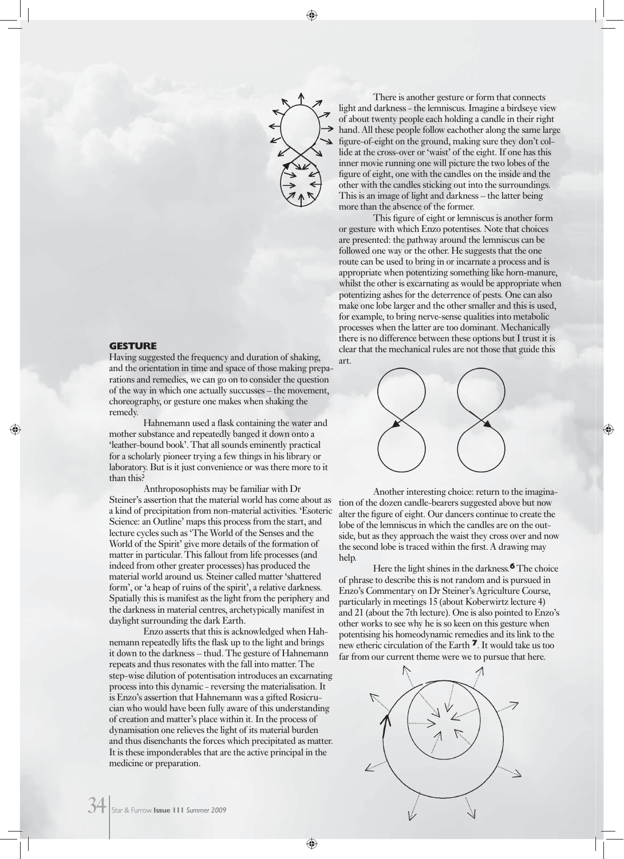

#### **GESTURE**

Having suggested the frequency and duration of shaking, and the orientation in time and space of those making preparations and remedies, we can go on to consider the question of the way in which one actually succusses – the movement, choreography, or gesture one makes when shaking the remedy.

Hahnemann used a flask containing the water and mother substance and repeatedly banged it down onto a 'leather-bound book'. That all sounds eminently practical for a scholarly pioneer trying a few things in his library or laboratory. But is it just convenience or was there more to it than this?

 Anthroposophists may be familiar with Dr Steiner's assertion that the material world has come about as a kind of precipitation from non-material activities. 'Esoteric Science: an Outline' maps this process from the start, and lecture cycles such as 'The World of the Senses and the World of the Spirit' give more details of the formation of matter in particular. This fallout from life processes (and indeed from other greater processes) has produced the material world around us. Steiner called matter 'shattered form', or 'a heap of ruins of the spirit', a relative darkness. Spatially this is manifest as the light from the periphery and the darkness in material centres, archetypically manifest in daylight surrounding the dark Earth.

 Enzo asserts that this is acknowledged when Hahnemann repeatedly lifts the flask up to the light and brings it down to the darkness – thud. The gesture of Hahnemann repeats and thus resonates with the fall into matter. The step-wise dilution of potentisation introduces an excarnating process into this dynamic - reversing the materialisation. It is Enzo's assertion that Hahnemann was a gifted Rosicrucian who would have been fully aware of this understanding of creation and matter's place within it. In the process of dynamisation one relieves the light of its material burden and thus disenchants the forces which precipitated as matter. It is these imponderables that are the active principal in the medicine or preparation.

 There is another gesture or form that connects light and darkness - the lemniscus. Imagine a birdseye view of about twenty people each holding a candle in their right hand. All these people follow eachother along the same large figure-of-eight on the ground, making sure they don't collide at the cross-over or 'waist' of the eight. If one has this inner movie running one will picture the two lobes of the figure of eight, one with the candles on the inside and the other with the candles sticking out into the surroundings. This is an image of light and darkness – the latter being more than the absence of the former.

This figure of eight or lemniscus is another form or gesture with which Enzo potentises. Note that choices are presented: the pathway around the lemniscus can be followed one way or the other. He suggests that the one route can be used to bring in or incarnate a process and is appropriate when potentizing something like horn-manure, whilst the other is excarnating as would be appropriate when potentizing ashes for the deterrence of pests. One can also make one lobe larger and the other smaller and this is used, for example, to bring nerve-sense qualities into metabolic processes when the latter are too dominant. Mechanically there is no difference between these options but I trust it is clear that the mechanical rules are not those that guide this art.



 Another interesting choice: return to the imagination of the dozen candle-bearers suggested above but now alter the figure of eight. Our dancers continue to create the lobe of the lemniscus in which the candles are on the outside, but as they approach the waist they cross over and now the second lobe is traced within the first. A drawing may help.

 Here the light shines in the darkness.**6** The choice of phrase to describe this is not random and is pursued in Enzo's Commentary on Dr Steiner's Agriculture Course, particularly in meetings 15 (about Koberwirtz lecture 4) and 21 (about the 7th lecture). One is also pointed to Enzo's other works to see why he is so keen on this gesture when potentising his homeodynamic remedies and its link to the new etheric circulation of the Earth **7**. It would take us too far from our current theme were we to pursue that here.

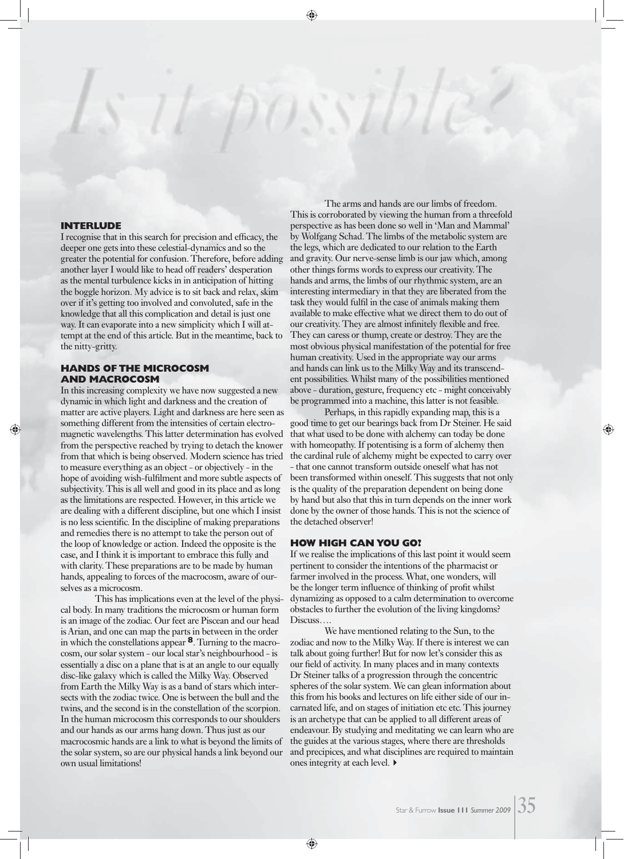#### **INTERLUDE**

I recognise that in this search for precision and efficacy, the deeper one gets into these celestial-dynamics and so the greater the potential for confusion. Therefore, before adding another layer I would like to head off readers' desperation as the mental turbulence kicks in in anticipation of hitting the boggle horizon. My advice is to sit back and relax, skim over if it's getting too involved and convoluted, safe in the knowledge that all this complication and detail is just one way. It can evaporate into a new simplicity which I will attempt at the end of this article. But in the meantime, back to the nitty-gritty.

# **HANDS OF THE MICROCOSM AND MACROCOSM**

In this increasing complexity we have now suggested a new dynamic in which light and darkness and the creation of matter are active players. Light and darkness are here seen as something different from the intensities of certain electromagnetic wavelengths. This latter determination has evolved from the perspective reached by trying to detach the knower from that which is being observed. Modern science has tried to measure everything as an object - or objectively - in the hope of avoiding wish-fulfilment and more subtle aspects of subjectivity. This is all well and good in its place and as long as the limitations are respected. However, in this article we are dealing with a different discipline, but one which I insist is no less scientific. In the discipline of making preparations and remedies there is no attempt to take the person out of the loop of knowledge or action. Indeed the opposite is the case, and I think it is important to embrace this fully and with clarity. These preparations are to be made by human hands, appealing to forces of the macrocosm, aware of ourselves as a microcosm.

 This has implications even at the level of the physical body. In many traditions the microcosm or human form is an image of the zodiac. Our feet are Piscean and our head is Arian, and one can map the parts in between in the order in which the constellations appear **8**. Turning to the macrocosm, our solar system - our local star's neighbourhood - is essentially a disc on a plane that is at an angle to our equally disc-like galaxy which is called the Milky Way. Observed from Earth the Milky Way is as a band of stars which intersects with the zodiac twice. One is between the bull and the twins, and the second is in the constellation of the scorpion. In the human microcosm this corresponds to our shoulders and our hands as our arms hang down. Thus just as our macrocosmic hands are a link to what is beyond the limits of the solar system, so are our physical hands a link beyond our own usual limitations!

 The arms and hands are our limbs of freedom. This is corroborated by viewing the human from a threefold perspective as has been done so well in 'Man and Mammal' by Wolfgang Schad. The limbs of the metabolic system are the legs, which are dedicated to our relation to the Earth and gravity. Our nerve-sense limb is our jaw which, among other things forms words to express our creativity. The hands and arms, the limbs of our rhythmic system, are an interesting intermediary in that they are liberated from the task they would fulfil in the case of animals making them available to make effective what we direct them to do out of our creativity. They are almost infinitely flexible and free. They can caress or thump, create or destroy. They are the most obvious physical manifestation of the potential for free human creativity. Used in the appropriate way our arms and hands can link us to the Milky Way and its transcendent possibilities. Whilst many of the possibilities mentioned above - duration, gesture, frequency etc - might conceivably be programmed into a machine, this latter is not feasible.

 Perhaps, in this rapidly expanding map, this is a good time to get our bearings back from Dr Steiner. He said that what used to be done with alchemy can today be done with homeopathy. If potentising is a form of alchemy then the cardinal rule of alchemy might be expected to carry over - that one cannot transform outside oneself what has not been transformed within oneself. This suggests that not only is the quality of the preparation dependent on being done by hand but also that this in turn depends on the inner work done by the owner of those hands. This is not the science of the detached observer!

#### **HOW HIGH CAN YOU GO?**

If we realise the implications of this last point it would seem pertinent to consider the intentions of the pharmacist or farmer involved in the process. What, one wonders, will be the longer term influence of thinking of profit whilst dynamizing as opposed to a calm determination to overcome obstacles to further the evolution of the living kingdoms? Discuss….

 We have mentioned relating to the Sun, to the zodiac and now to the Milky Way. If there is interest we can talk about going further! But for now let's consider this as our field of activity. In many places and in many contexts Dr Steiner talks of a progression through the concentric spheres of the solar system. We can glean information about this from his books and lectures on life either side of our incarnated life, and on stages of initiation etc etc. This journey is an archetype that can be applied to all different areas of endeavour. By studying and meditating we can learn who are the guides at the various stages, where there are thresholds and precipices, and what disciplines are required to maintain ones integrity at each level.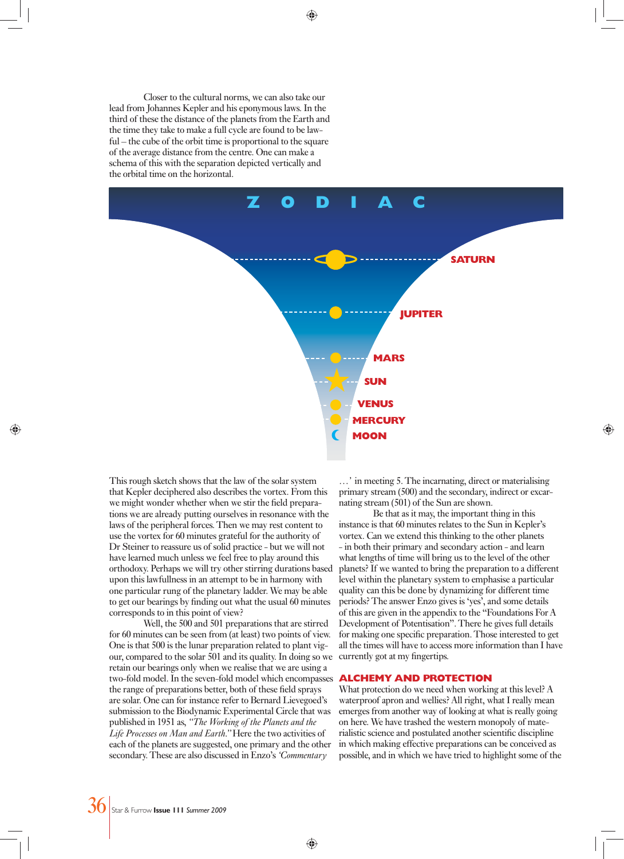Closer to the cultural norms, we can also take our lead from Johannes Kepler and his eponymous laws. In the third of these the distance of the planets from the Earth and the time they take to make a full cycle are found to be lawful – the cube of the orbit time is proportional to the square of the average distance from the centre. One can make a schema of this with the separation depicted vertically and the orbital time on the horizontal.



This rough sketch shows that the law of the solar system that Kepler deciphered also describes the vortex. From this we might wonder whether when we stir the field preparations we are already putting ourselves in resonance with the laws of the peripheral forces. Then we may rest content to use the vortex for 60 minutes grateful for the authority of Dr Steiner to reassure us of solid practice - but we will not have learned much unless we feel free to play around this orthodoxy. Perhaps we will try other stirring durations based upon this lawfullness in an attempt to be in harmony with one particular rung of the planetary ladder. We may be able to get our bearings by finding out what the usual 60 minutes corresponds to in this point of view?

 Well, the 500 and 501 preparations that are stirred for 60 minutes can be seen from (at least) two points of view. One is that 500 is the lunar preparation related to plant vigour, compared to the solar 501 and its quality. In doing so we retain our bearings only when we realise that we are using a two-fold model. In the seven-fold model which encompasses the range of preparations better, both of these field sprays are solar. One can for instance refer to Bernard Lievegoed's submission to the Biodynamic Experimental Circle that was published in 1951 as, *"The Working of the Planets and the Life Processes on Man and Earth."* Here the two activities of each of the planets are suggested, one primary and the other secondary. These are also discussed in Enzo's *'Commentary* 

*…'* in meeting 5. The incarnating, direct or materialising primary stream (500) and the secondary, indirect or excarnating stream (501) of the Sun are shown.

 Be that as it may, the important thing in this instance is that 60 minutes relates to the Sun in Kepler's vortex. Can we extend this thinking to the other planets - in both their primary and secondary action - and learn what lengths of time will bring us to the level of the other planets? If we wanted to bring the preparation to a different level within the planetary system to emphasise a particular quality can this be done by dynamizing for different time periods? The answer Enzo gives is 'yes', and some details of this are given in the appendix to the "Foundations For A Development of Potentisation". There he gives full details for making one specific preparation. Those interested to get all the times will have to access more information than I have currently got at my fingertips.

### **ALCHEMY AND PROTECTION**

What protection do we need when working at this level? A waterproof apron and wellies? All right, what I really mean emerges from another way of looking at what is really going on here. We have trashed the western monopoly of materialistic science and postulated another scientific discipline in which making effective preparations can be conceived as possible, and in which we have tried to highlight some of the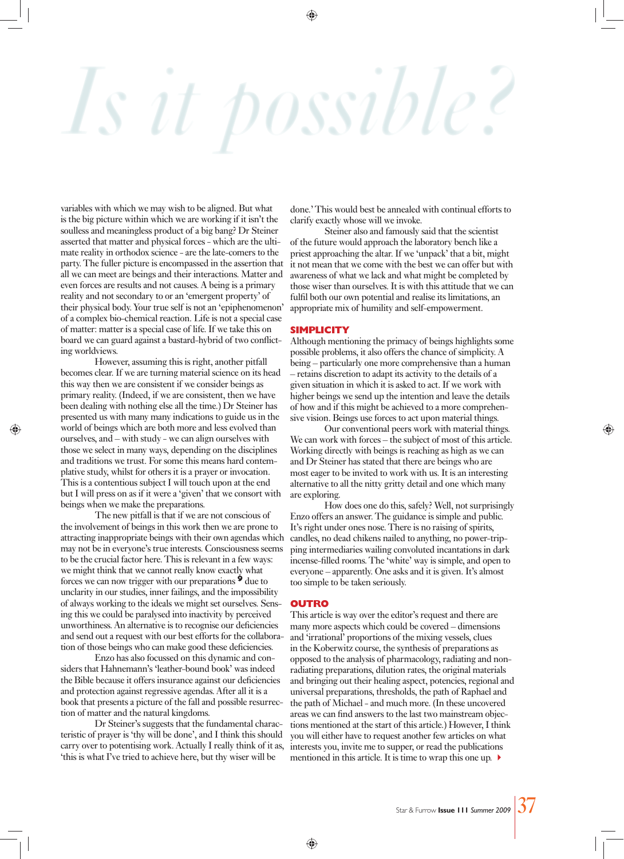# *OSSVD*

variables with which we may wish to be aligned. But what is the big picture within which we are working if it isn't the soulless and meaningless product of a big bang? Dr Steiner asserted that matter and physical forces - which are the ultimate reality in orthodox science - are the late-comers to the party. The fuller picture is encompassed in the assertion that all we can meet are beings and their interactions. Matter and even forces are results and not causes. A being is a primary reality and not secondary to or an 'emergent property' of their physical body. Your true self is not an 'epiphenomenon' of a complex bio-chemical reaction. Life is not a special case of matter: matter is a special case of life. If we take this on board we can guard against a bastard-hybrid of two conflicting worldviews.

 However, assuming this is right, another pitfall becomes clear. If we are turning material science on its head this way then we are consistent if we consider beings as primary reality. (Indeed, if we are consistent, then we have been dealing with nothing else all the time.) Dr Steiner has presented us with many many indications to guide us in the world of beings which are both more and less evolved than ourselves, and – with study - we can align ourselves with those we select in many ways, depending on the disciplines and traditions we trust. For some this means hard contemplative study, whilst for others it is a prayer or invocation. This is a contentious subject I will touch upon at the end but I will press on as if it were a 'given' that we consort with beings when we make the preparations.

 The new pitfall is that if we are not conscious of the involvement of beings in this work then we are prone to attracting inappropriate beings with their own agendas which may not be in everyone's true interests. Consciousness seems to be the crucial factor here. This is relevant in a few ways: we might think that we cannot really know exactly what forces we can now trigger with our preparations **9** due to unclarity in our studies, inner failings, and the impossibility of always working to the ideals we might set ourselves. Sensing this we could be paralysed into inactivity by perceived unworthiness. An alternative is to recognise our deficiencies and send out a request with our best efforts for the collaboration of those beings who can make good these deficiencies.

 Enzo has also focussed on this dynamic and considers that Hahnemann's 'leather-bound book' was indeed the Bible because it offers insurance against our deficiencies and protection against regressive agendas. After all it is a book that presents a picture of the fall and possible resurrection of matter and the natural kingdoms.

 Dr Steiner's suggests that the fundamental characteristic of prayer is 'thy will be done', and I think this should carry over to potentising work. Actually I really think of it as, 'this is what I've tried to achieve here, but thy wiser will be

done.' This would best be annealed with continual efforts to clarify exactly whose will we invoke.

 Steiner also and famously said that the scientist of the future would approach the laboratory bench like a priest approaching the altar. If we 'unpack' that a bit, might it not mean that we come with the best we can offer but with awareness of what we lack and what might be completed by those wiser than ourselves. It is with this attitude that we can fulfil both our own potential and realise its limitations, an appropriate mix of humility and self-empowerment.

#### **SIMPLICITY**

Although mentioning the primacy of beings highlights some possible problems, it also offers the chance of simplicity. A being – particularly one more comprehensive than a human – retains discretion to adapt its activity to the details of a given situation in which it is asked to act. If we work with higher beings we send up the intention and leave the details of how and if this might be achieved to a more comprehensive vision. Beings use forces to act upon material things.

 Our conventional peers work with material things. We can work with forces – the subject of most of this article. Working directly with beings is reaching as high as we can and Dr Steiner has stated that there are beings who are most eager to be invited to work with us. It is an interesting alternative to all the nitty gritty detail and one which many are exploring.

 How does one do this, safely? Well, not surprisingly Enzo offers an answer. The guidance is simple and public. It's right under ones nose. There is no raising of spirits, candles, no dead chikens nailed to anything, no power-tripping intermediaries wailing convoluted incantations in dark incense-filled rooms. The 'white' way is simple, and open to everyone – apparently. One asks and it is given. It's almost too simple to be taken seriously.

#### **OUTRO**

This article is way over the editor's request and there are many more aspects which could be covered – dimensions and 'irrational' proportions of the mixing vessels, clues in the Koberwitz course, the synthesis of preparations as opposed to the analysis of pharmacology, radiating and nonradiating preparations, dilution rates, the original materials and bringing out their healing aspect, potencies, regional and universal preparations, thresholds, the path of Raphael and the path of Michael - and much more. (In these uncovered areas we can find answers to the last two mainstream objections mentioned at the start of this article.) However, I think you will either have to request another few articles on what interests you, invite me to supper, or read the publications mentioned in this article. It is time to wrap this one up.  $\blacktriangleright$